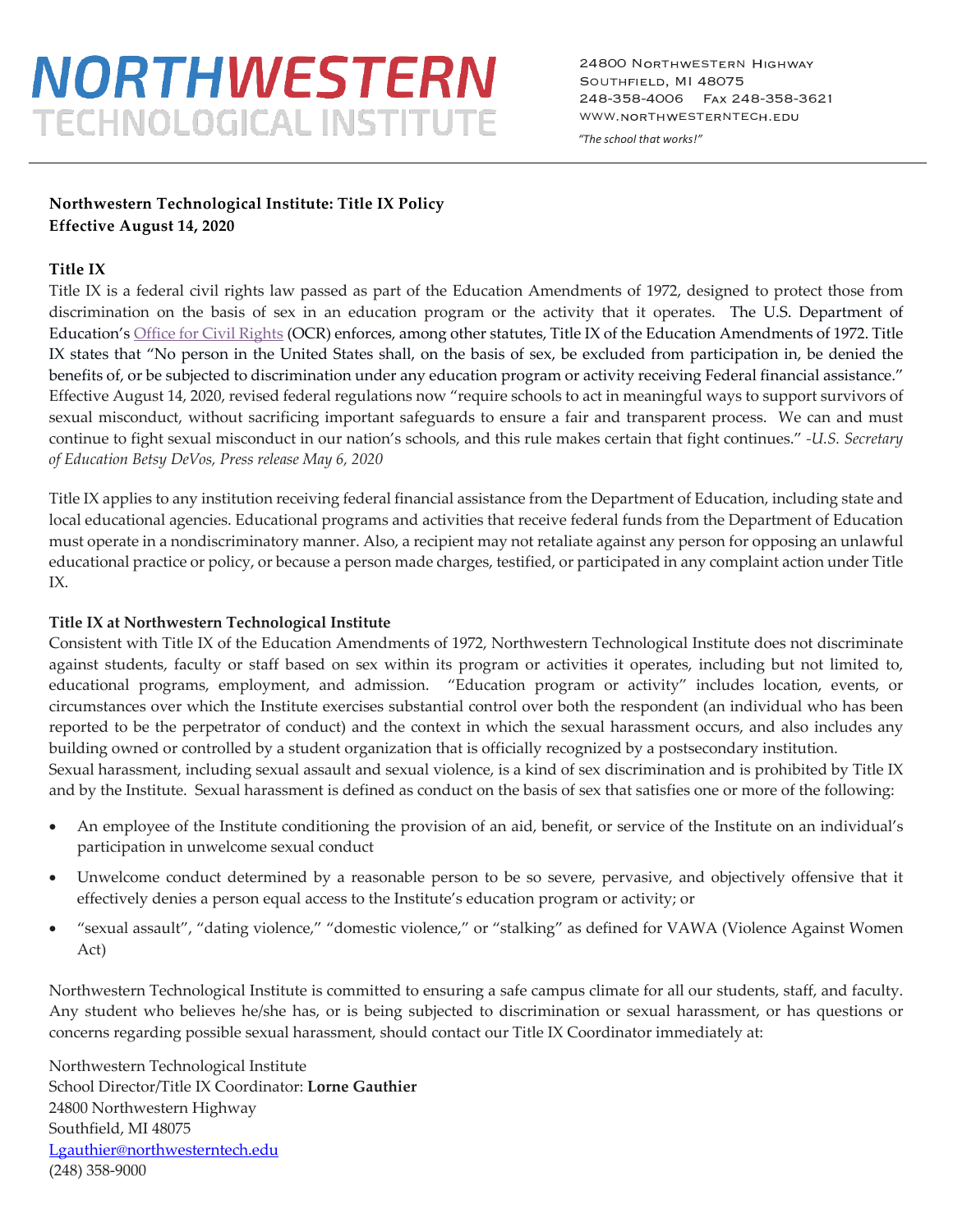# *NORTHWESTERN* **TECHNOLOGICAL INSTITUTE**

24800 NORTHWESTERN HIGHWAY SOUTHFIELD, MI 48075 248-358-4006 FAX 248-358-3621 WWW.NORTHWESTERNTECH.EDU

*"The school that works!"*

## **Northwestern Technological Institute: Title IX Policy Effective August 14, 2020**

## **Title IX**

Title IX is a federal civil rights law passed as part of the Education Amendments of 1972, designed to protect those from discrimination on the basis of sex in an education program or the activity that it operates. The U.S. Department of Education's Office for Civil Rights (OCR) enforces, among other statutes, Title IX of the Education Amendments of 1972. Title IX states that "No person in the United States shall, on the basis of sex, be excluded from participation in, be denied the benefits of, or be subjected to discrimination under any education program or activity receiving Federal financial assistance." Effective August 14, 2020, revised federal regulations now "require schools to act in meaningful ways to support survivors of sexual misconduct, without sacrificing important safeguards to ensure a fair and transparent process. We can and must continue to fight sexual misconduct in our nation's schools, and this rule makes certain that fight continues." *-U.S. Secretary of Education Betsy DeVos, Press release May 6, 2020* 

Title IX applies to any institution receiving federal financial assistance from the Department of Education, including state and local educational agencies. Educational programs and activities that receive federal funds from the Department of Education must operate in a nondiscriminatory manner. Also, a recipient may not retaliate against any person for opposing an unlawful educational practice or policy, or because a person made charges, testified, or participated in any complaint action under Title IX.

## **Title IX at Northwestern Technological Institute**

Consistent with Title IX of the Education Amendments of 1972, Northwestern Technological Institute does not discriminate against students, faculty or staff based on sex within its program or activities it operates, including but not limited to, educational programs, employment, and admission. "Education program or activity" includes location, events, or circumstances over which the Institute exercises substantial control over both the respondent (an individual who has been reported to be the perpetrator of conduct) and the context in which the sexual harassment occurs, and also includes any building owned or controlled by a student organization that is officially recognized by a postsecondary institution. Sexual harassment, including sexual assault and sexual violence, is a kind of sex discrimination and is prohibited by Title IX and by the Institute. Sexual harassment is defined as conduct on the basis of sex that satisfies one or more of the following:

- An employee of the Institute conditioning the provision of an aid, benefit, or service of the Institute on an individual's participation in unwelcome sexual conduct
- Unwelcome conduct determined by a reasonable person to be so severe, pervasive, and objectively offensive that it effectively denies a person equal access to the Institute's education program or activity; or
- "sexual assault", "dating violence," "domestic violence," or "stalking" as defined for VAWA (Violence Against Women Act)

Northwestern Technological Institute is committed to ensuring a safe campus climate for all our students, staff, and faculty. Any student who believes he/she has, or is being subjected to discrimination or sexual harassment, or has questions or concerns regarding possible sexual harassment, should contact our Title IX Coordinator immediately at:

Northwestern Technological Institute School Director/Title IX Coordinator: **Lorne Gauthier** 24800 Northwestern Highway Southfield, MI 48075 Lgauthier@northwesterntech.edu (248) 358-9000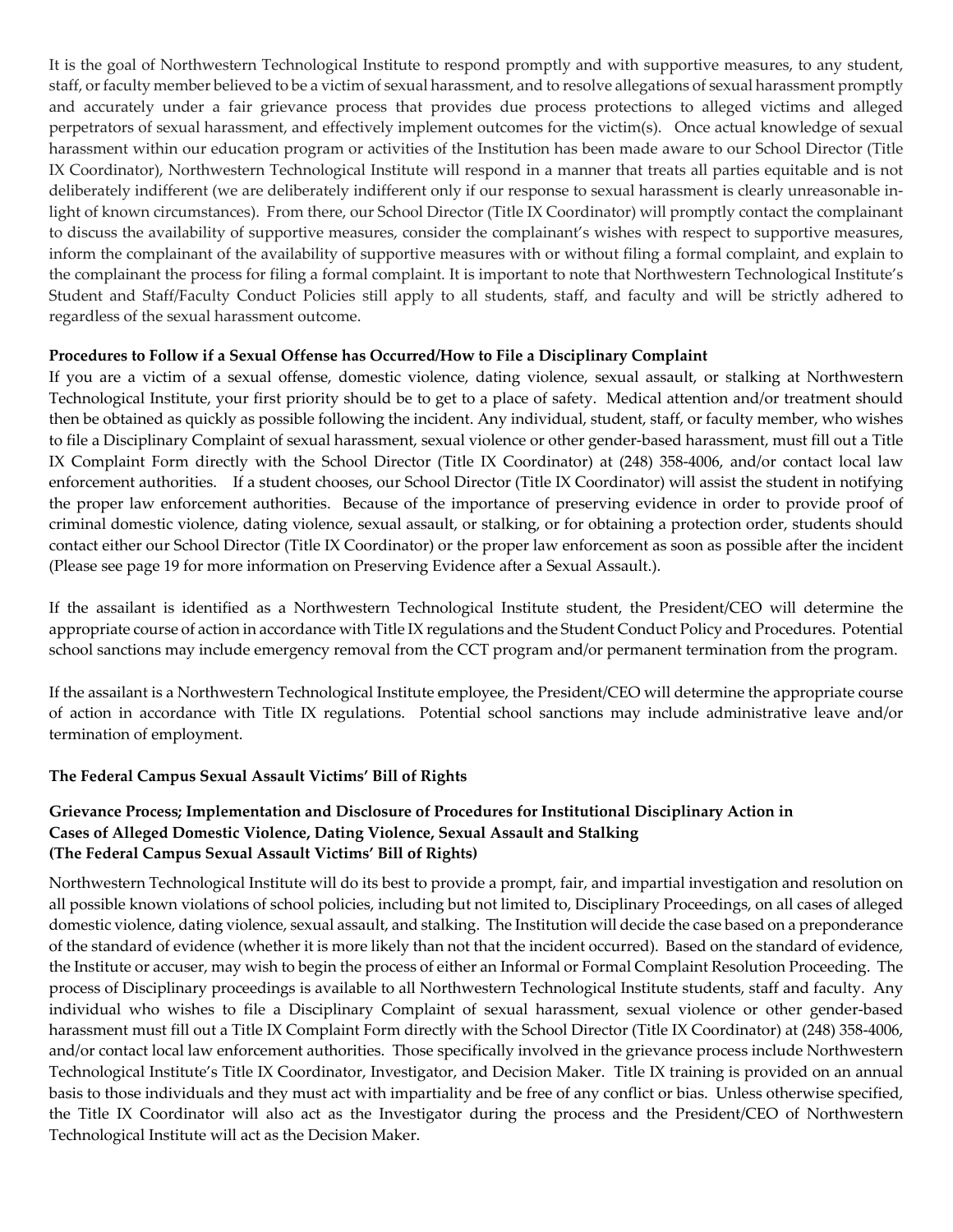It is the goal of Northwestern Technological Institute to respond promptly and with supportive measures, to any student, staff, or faculty member believed to be a victim of sexual harassment, and to resolve allegations of sexual harassment promptly and accurately under a fair grievance process that provides due process protections to alleged victims and alleged perpetrators of sexual harassment, and effectively implement outcomes for the victim(s). Once actual knowledge of sexual harassment within our education program or activities of the Institution has been made aware to our School Director (Title IX Coordinator), Northwestern Technological Institute will respond in a manner that treats all parties equitable and is not deliberately indifferent (we are deliberately indifferent only if our response to sexual harassment is clearly unreasonable inlight of known circumstances). From there, our School Director (Title IX Coordinator) will promptly contact the complainant to discuss the availability of supportive measures, consider the complainant's wishes with respect to supportive measures, inform the complainant of the availability of supportive measures with or without filing a formal complaint, and explain to the complainant the process for filing a formal complaint. It is important to note that Northwestern Technological Institute's Student and Staff/Faculty Conduct Policies still apply to all students, staff, and faculty and will be strictly adhered to regardless of the sexual harassment outcome.

## **Procedures to Follow if a Sexual Offense has Occurred/How to File a Disciplinary Complaint**

If you are a victim of a sexual offense, domestic violence, dating violence, sexual assault, or stalking at Northwestern Technological Institute, your first priority should be to get to a place of safety. Medical attention and/or treatment should then be obtained as quickly as possible following the incident. Any individual, student, staff, or faculty member, who wishes to file a Disciplinary Complaint of sexual harassment, sexual violence or other gender-based harassment, must fill out a Title IX Complaint Form directly with the School Director (Title IX Coordinator) at (248) 358-4006, and/or contact local law enforcement authorities. If a student chooses, our School Director (Title IX Coordinator) will assist the student in notifying the proper law enforcement authorities. Because of the importance of preserving evidence in order to provide proof of criminal domestic violence, dating violence, sexual assault, or stalking, or for obtaining a protection order, students should contact either our School Director (Title IX Coordinator) or the proper law enforcement as soon as possible after the incident (Please see page 19 for more information on Preserving Evidence after a Sexual Assault.).

If the assailant is identified as a Northwestern Technological Institute student, the President/CEO will determine the appropriate course of action in accordance with Title IX regulations and the Student Conduct Policy and Procedures. Potential school sanctions may include emergency removal from the CCT program and/or permanent termination from the program.

If the assailant is a Northwestern Technological Institute employee, the President/CEO will determine the appropriate course of action in accordance with Title IX regulations. Potential school sanctions may include administrative leave and/or termination of employment.

## **The Federal Campus Sexual Assault Victims' Bill of Rights**

## **Grievance Process; Implementation and Disclosure of Procedures for Institutional Disciplinary Action in Cases of Alleged Domestic Violence, Dating Violence, Sexual Assault and Stalking (The Federal Campus Sexual Assault Victims' Bill of Rights)**

Northwestern Technological Institute will do its best to provide a prompt, fair, and impartial investigation and resolution on all possible known violations of school policies, including but not limited to, Disciplinary Proceedings, on all cases of alleged domestic violence, dating violence, sexual assault, and stalking. The Institution will decide the case based on a preponderance of the standard of evidence (whether it is more likely than not that the incident occurred). Based on the standard of evidence, the Institute or accuser, may wish to begin the process of either an Informal or Formal Complaint Resolution Proceeding. The process of Disciplinary proceedings is available to all Northwestern Technological Institute students, staff and faculty. Any individual who wishes to file a Disciplinary Complaint of sexual harassment, sexual violence or other gender-based harassment must fill out a Title IX Complaint Form directly with the School Director (Title IX Coordinator) at (248) 358-4006, and/or contact local law enforcement authorities. Those specifically involved in the grievance process include Northwestern Technological Institute's Title IX Coordinator, Investigator, and Decision Maker. Title IX training is provided on an annual basis to those individuals and they must act with impartiality and be free of any conflict or bias. Unless otherwise specified, the Title IX Coordinator will also act as the Investigator during the process and the President/CEO of Northwestern Technological Institute will act as the Decision Maker.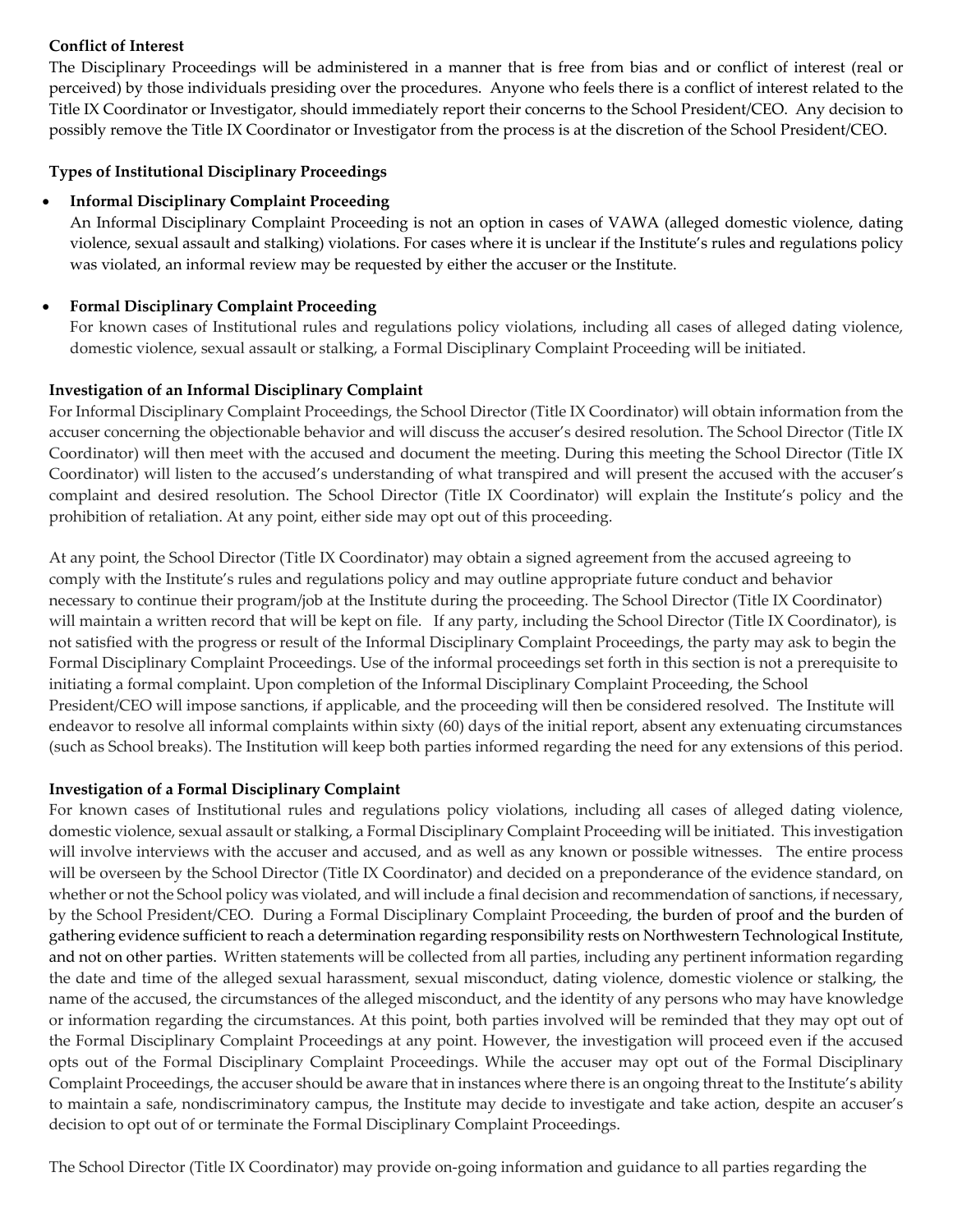## **Conflict of Interest**

The Disciplinary Proceedings will be administered in a manner that is free from bias and or conflict of interest (real or perceived) by those individuals presiding over the procedures. Anyone who feels there is a conflict of interest related to the Title IX Coordinator or Investigator, should immediately report their concerns to the School President/CEO. Any decision to possibly remove the Title IX Coordinator or Investigator from the process is at the discretion of the School President/CEO.

## **Types of Institutional Disciplinary Proceedings**

## • **Informal Disciplinary Complaint Proceeding**

An Informal Disciplinary Complaint Proceeding is not an option in cases of VAWA (alleged domestic violence, dating violence, sexual assault and stalking) violations. For cases where it is unclear if the Institute's rules and regulations policy was violated, an informal review may be requested by either the accuser or the Institute.

## • **Formal Disciplinary Complaint Proceeding**

For known cases of Institutional rules and regulations policy violations, including all cases of alleged dating violence, domestic violence, sexual assault or stalking, a Formal Disciplinary Complaint Proceeding will be initiated.

## **Investigation of an Informal Disciplinary Complaint**

For Informal Disciplinary Complaint Proceedings, the School Director (Title IX Coordinator) will obtain information from the accuser concerning the objectionable behavior and will discuss the accuser's desired resolution. The School Director (Title IX Coordinator) will then meet with the accused and document the meeting. During this meeting the School Director (Title IX Coordinator) will listen to the accused's understanding of what transpired and will present the accused with the accuser's complaint and desired resolution. The School Director (Title IX Coordinator) will explain the Institute's policy and the prohibition of retaliation. At any point, either side may opt out of this proceeding.

At any point, the School Director (Title IX Coordinator) may obtain a signed agreement from the accused agreeing to comply with the Institute's rules and regulations policy and may outline appropriate future conduct and behavior necessary to continue their program/job at the Institute during the proceeding. The School Director (Title IX Coordinator) will maintain a written record that will be kept on file. If any party, including the School Director (Title IX Coordinator), is not satisfied with the progress or result of the Informal Disciplinary Complaint Proceedings, the party may ask to begin the Formal Disciplinary Complaint Proceedings. Use of the informal proceedings set forth in this section is not a prerequisite to initiating a formal complaint. Upon completion of the Informal Disciplinary Complaint Proceeding, the School President/CEO will impose sanctions, if applicable, and the proceeding will then be considered resolved. The Institute will endeavor to resolve all informal complaints within sixty (60) days of the initial report, absent any extenuating circumstances (such as School breaks). The Institution will keep both parties informed regarding the need for any extensions of this period.

## **Investigation of a Formal Disciplinary Complaint**

For known cases of Institutional rules and regulations policy violations, including all cases of alleged dating violence, domestic violence, sexual assault or stalking, a Formal Disciplinary Complaint Proceeding will be initiated. This investigation will involve interviews with the accuser and accused, and as well as any known or possible witnesses. The entire process will be overseen by the School Director (Title IX Coordinator) and decided on a preponderance of the evidence standard, on whether or not the School policy was violated, and will include a final decision and recommendation of sanctions, if necessary, by the School President/CEO. During a Formal Disciplinary Complaint Proceeding, the burden of proof and the burden of gathering evidence sufficient to reach a determination regarding responsibility rests on Northwestern Technological Institute, and not on other parties. Written statements will be collected from all parties, including any pertinent information regarding the date and time of the alleged sexual harassment, sexual misconduct, dating violence, domestic violence or stalking, the name of the accused, the circumstances of the alleged misconduct, and the identity of any persons who may have knowledge or information regarding the circumstances. At this point, both parties involved will be reminded that they may opt out of the Formal Disciplinary Complaint Proceedings at any point. However, the investigation will proceed even if the accused opts out of the Formal Disciplinary Complaint Proceedings. While the accuser may opt out of the Formal Disciplinary Complaint Proceedings, the accuser should be aware that in instances where there is an ongoing threat to the Institute's ability to maintain a safe, nondiscriminatory campus, the Institute may decide to investigate and take action, despite an accuser's decision to opt out of or terminate the Formal Disciplinary Complaint Proceedings.

The School Director (Title IX Coordinator) may provide on-going information and guidance to all parties regarding the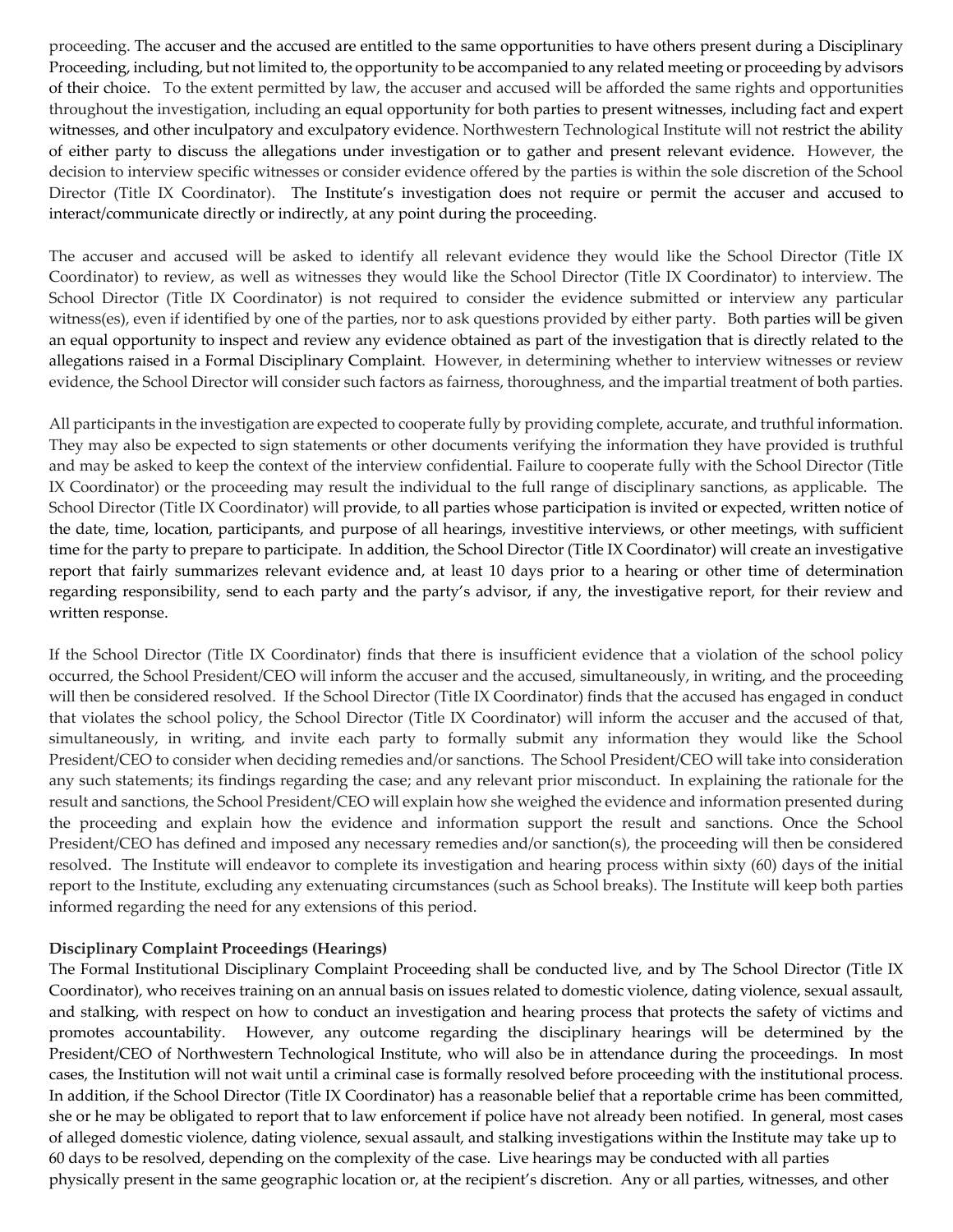proceeding. The accuser and the accused are entitled to the same opportunities to have others present during a Disciplinary Proceeding, including, but not limited to, the opportunity to be accompanied to any related meeting or proceeding by advisors of their choice. To the extent permitted by law, the accuser and accused will be afforded the same rights and opportunities throughout the investigation, including an equal opportunity for both parties to present witnesses, including fact and expert witnesses, and other inculpatory and exculpatory evidence. Northwestern Technological Institute will not restrict the ability of either party to discuss the allegations under investigation or to gather and present relevant evidence. However, the decision to interview specific witnesses or consider evidence offered by the parties is within the sole discretion of the School Director (Title IX Coordinator). The Institute's investigation does not require or permit the accuser and accused to interact/communicate directly or indirectly, at any point during the proceeding.

The accuser and accused will be asked to identify all relevant evidence they would like the School Director (Title IX Coordinator) to review, as well as witnesses they would like the School Director (Title IX Coordinator) to interview. The School Director (Title IX Coordinator) is not required to consider the evidence submitted or interview any particular witness(es), even if identified by one of the parties, nor to ask questions provided by either party. Both parties will be given an equal opportunity to inspect and review any evidence obtained as part of the investigation that is directly related to the allegations raised in a Formal Disciplinary Complaint. However, in determining whether to interview witnesses or review evidence, the School Director will consider such factors as fairness, thoroughness, and the impartial treatment of both parties.

All participants in the investigation are expected to cooperate fully by providing complete, accurate, and truthful information. They may also be expected to sign statements or other documents verifying the information they have provided is truthful and may be asked to keep the context of the interview confidential. Failure to cooperate fully with the School Director (Title IX Coordinator) or the proceeding may result the individual to the full range of disciplinary sanctions, as applicable. The School Director (Title IX Coordinator) will provide, to all parties whose participation is invited or expected, written notice of the date, time, location, participants, and purpose of all hearings, investitive interviews, or other meetings, with sufficient time for the party to prepare to participate. In addition, the School Director (Title IX Coordinator) will create an investigative report that fairly summarizes relevant evidence and, at least 10 days prior to a hearing or other time of determination regarding responsibility, send to each party and the party's advisor, if any, the investigative report, for their review and written response.

If the School Director (Title IX Coordinator) finds that there is insufficient evidence that a violation of the school policy occurred, the School President/CEO will inform the accuser and the accused, simultaneously, in writing, and the proceeding will then be considered resolved. If the School Director (Title IX Coordinator) finds that the accused has engaged in conduct that violates the school policy, the School Director (Title IX Coordinator) will inform the accuser and the accused of that, simultaneously, in writing, and invite each party to formally submit any information they would like the School President/CEO to consider when deciding remedies and/or sanctions. The School President/CEO will take into consideration any such statements; its findings regarding the case; and any relevant prior misconduct. In explaining the rationale for the result and sanctions, the School President/CEO will explain how she weighed the evidence and information presented during the proceeding and explain how the evidence and information support the result and sanctions. Once the School President/CEO has defined and imposed any necessary remedies and/or sanction(s), the proceeding will then be considered resolved. The Institute will endeavor to complete its investigation and hearing process within sixty (60) days of the initial report to the Institute, excluding any extenuating circumstances (such as School breaks). The Institute will keep both parties informed regarding the need for any extensions of this period.

## **Disciplinary Complaint Proceedings (Hearings)**

The Formal Institutional Disciplinary Complaint Proceeding shall be conducted live, and by The School Director (Title IX Coordinator), who receives training on an annual basis on issues related to domestic violence, dating violence, sexual assault, and stalking, with respect on how to conduct an investigation and hearing process that protects the safety of victims and promotes accountability. However, any outcome regarding the disciplinary hearings will be determined by the President/CEO of Northwestern Technological Institute, who will also be in attendance during the proceedings. In most cases, the Institution will not wait until a criminal case is formally resolved before proceeding with the institutional process. In addition, if the School Director (Title IX Coordinator) has a reasonable belief that a reportable crime has been committed, she or he may be obligated to report that to law enforcement if police have not already been notified. In general, most cases of alleged domestic violence, dating violence, sexual assault, and stalking investigations within the Institute may take up to 60 days to be resolved, depending on the complexity of the case. Live hearings may be conducted with all parties physically present in the same geographic location or, at the recipient's discretion. Any or all parties, witnesses, and other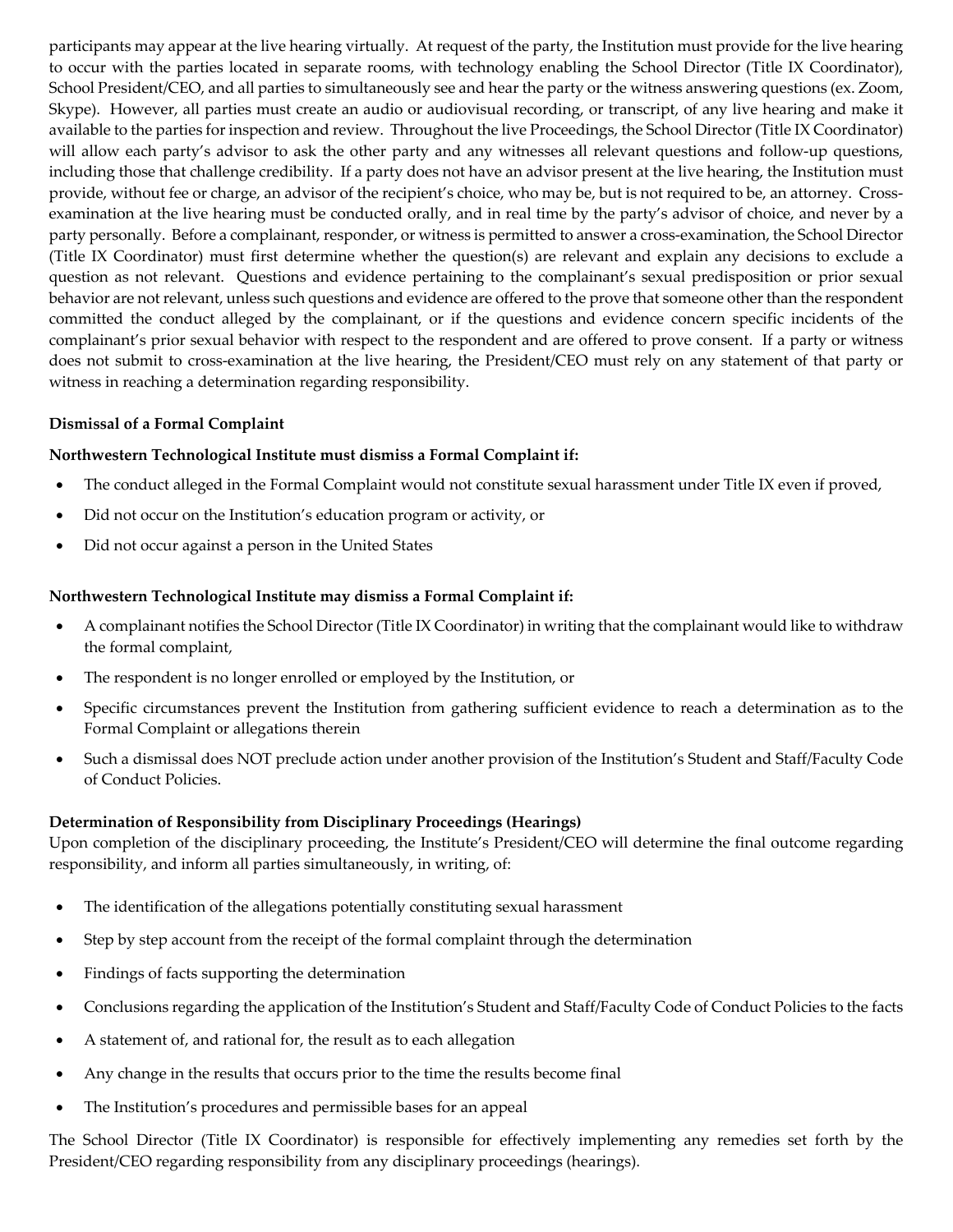participants may appear at the live hearing virtually. At request of the party, the Institution must provide for the live hearing to occur with the parties located in separate rooms, with technology enabling the School Director (Title IX Coordinator), School President/CEO, and all parties to simultaneously see and hear the party or the witness answering questions (ex. Zoom, Skype). However, all parties must create an audio or audiovisual recording, or transcript, of any live hearing and make it available to the parties for inspection and review. Throughout the live Proceedings, the School Director (Title IX Coordinator) will allow each party's advisor to ask the other party and any witnesses all relevant questions and follow-up questions, including those that challenge credibility. If a party does not have an advisor present at the live hearing, the Institution must provide, without fee or charge, an advisor of the recipient's choice, who may be, but is not required to be, an attorney. Crossexamination at the live hearing must be conducted orally, and in real time by the party's advisor of choice, and never by a party personally. Before a complainant, responder, or witness is permitted to answer a cross-examination, the School Director (Title IX Coordinator) must first determine whether the question(s) are relevant and explain any decisions to exclude a question as not relevant. Questions and evidence pertaining to the complainant's sexual predisposition or prior sexual behavior are not relevant, unless such questions and evidence are offered to the prove that someone other than the respondent committed the conduct alleged by the complainant, or if the questions and evidence concern specific incidents of the complainant's prior sexual behavior with respect to the respondent and are offered to prove consent. If a party or witness does not submit to cross-examination at the live hearing, the President/CEO must rely on any statement of that party or witness in reaching a determination regarding responsibility.

## **Dismissal of a Formal Complaint**

## **Northwestern Technological Institute must dismiss a Formal Complaint if:**

- The conduct alleged in the Formal Complaint would not constitute sexual harassment under Title IX even if proved,
- Did not occur on the Institution's education program or activity, or
- Did not occur against a person in the United States

#### **Northwestern Technological Institute may dismiss a Formal Complaint if:**

- A complainant notifies the School Director (Title IX Coordinator) in writing that the complainant would like to withdraw the formal complaint,
- The respondent is no longer enrolled or employed by the Institution, or
- Specific circumstances prevent the Institution from gathering sufficient evidence to reach a determination as to the Formal Complaint or allegations therein
- Such a dismissal does NOT preclude action under another provision of the Institution's Student and Staff/Faculty Code of Conduct Policies.

## **Determination of Responsibility from Disciplinary Proceedings (Hearings)**

Upon completion of the disciplinary proceeding, the Institute's President/CEO will determine the final outcome regarding responsibility, and inform all parties simultaneously, in writing, of:

- The identification of the allegations potentially constituting sexual harassment
- Step by step account from the receipt of the formal complaint through the determination
- Findings of facts supporting the determination
- Conclusions regarding the application of the Institution's Student and Staff/Faculty Code of Conduct Policies to the facts
- A statement of, and rational for, the result as to each allegation
- Any change in the results that occurs prior to the time the results become final
- The Institution's procedures and permissible bases for an appeal

The School Director (Title IX Coordinator) is responsible for effectively implementing any remedies set forth by the President/CEO regarding responsibility from any disciplinary proceedings (hearings).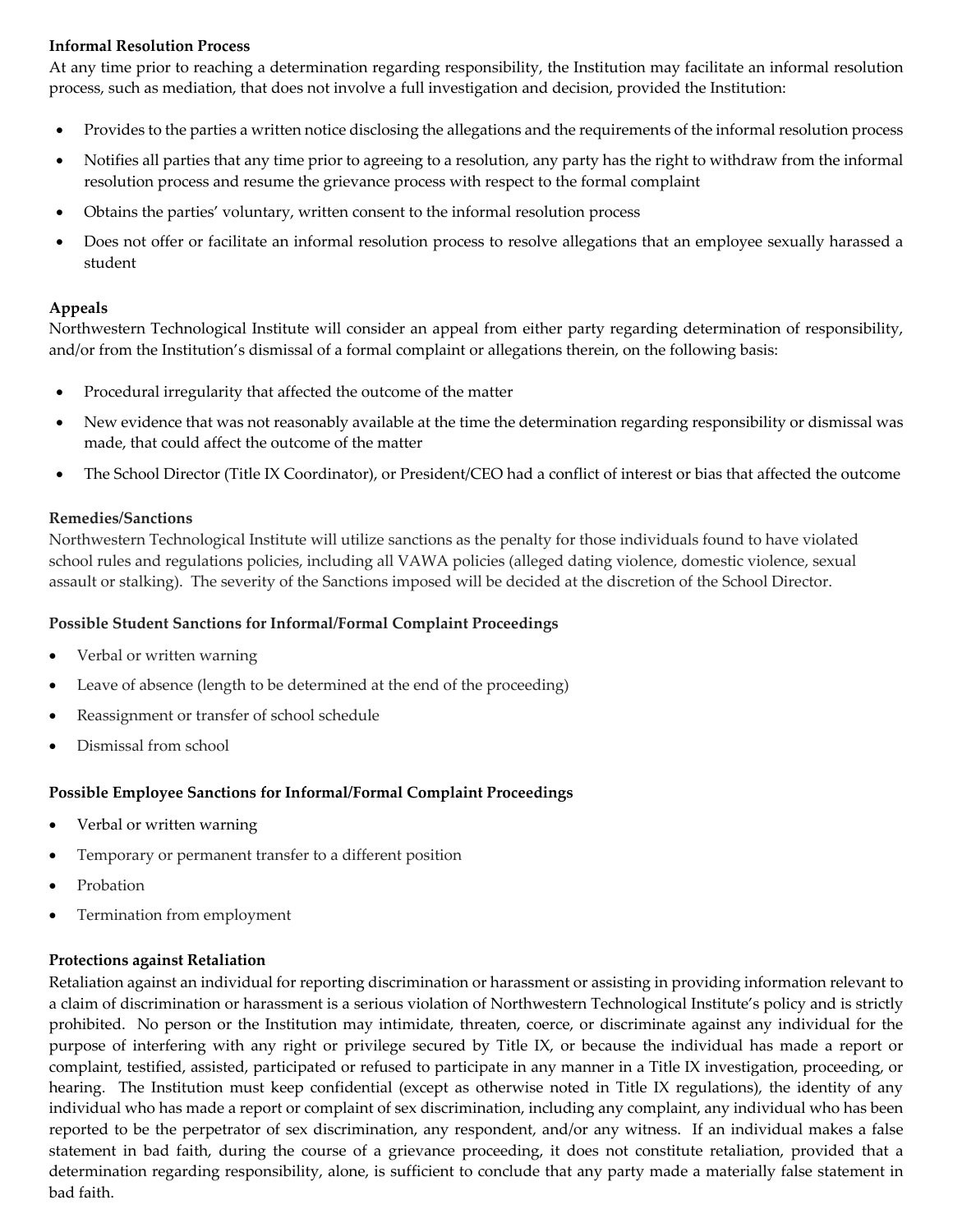## **Informal Resolution Process**

At any time prior to reaching a determination regarding responsibility, the Institution may facilitate an informal resolution process, such as mediation, that does not involve a full investigation and decision, provided the Institution:

- Provides to the parties a written notice disclosing the allegations and the requirements of the informal resolution process
- Notifies all parties that any time prior to agreeing to a resolution, any party has the right to withdraw from the informal resolution process and resume the grievance process with respect to the formal complaint
- Obtains the parties' voluntary, written consent to the informal resolution process
- Does not offer or facilitate an informal resolution process to resolve allegations that an employee sexually harassed a student

## **Appeals**

Northwestern Technological Institute will consider an appeal from either party regarding determination of responsibility, and/or from the Institution's dismissal of a formal complaint or allegations therein, on the following basis:

- Procedural irregularity that affected the outcome of the matter
- New evidence that was not reasonably available at the time the determination regarding responsibility or dismissal was made, that could affect the outcome of the matter
- The School Director (Title IX Coordinator), or President/CEO had a conflict of interest or bias that affected the outcome

## **Remedies/Sanctions**

Northwestern Technological Institute will utilize sanctions as the penalty for those individuals found to have violated school rules and regulations policies, including all VAWA policies (alleged dating violence, domestic violence, sexual assault or stalking). The severity of the Sanctions imposed will be decided at the discretion of the School Director.

## **Possible Student Sanctions for Informal/Formal Complaint Proceedings**

- Verbal or written warning
- Leave of absence (length to be determined at the end of the proceeding)
- Reassignment or transfer of school schedule
- Dismissal from school

## **Possible Employee Sanctions for Informal/Formal Complaint Proceedings**

- Verbal or written warning
- Temporary or permanent transfer to a different position
- **Probation**
- Termination from employment

## **Protections against Retaliation**

Retaliation against an individual for reporting discrimination or harassment or assisting in providing information relevant to a claim of discrimination or harassment is a serious violation of Northwestern Technological Institute's policy and is strictly prohibited. No person or the Institution may intimidate, threaten, coerce, or discriminate against any individual for the purpose of interfering with any right or privilege secured by Title IX, or because the individual has made a report or complaint, testified, assisted, participated or refused to participate in any manner in a Title IX investigation, proceeding, or hearing. The Institution must keep confidential (except as otherwise noted in Title IX regulations), the identity of any individual who has made a report or complaint of sex discrimination, including any complaint, any individual who has been reported to be the perpetrator of sex discrimination, any respondent, and/or any witness. If an individual makes a false statement in bad faith, during the course of a grievance proceeding, it does not constitute retaliation, provided that a determination regarding responsibility, alone, is sufficient to conclude that any party made a materially false statement in bad faith.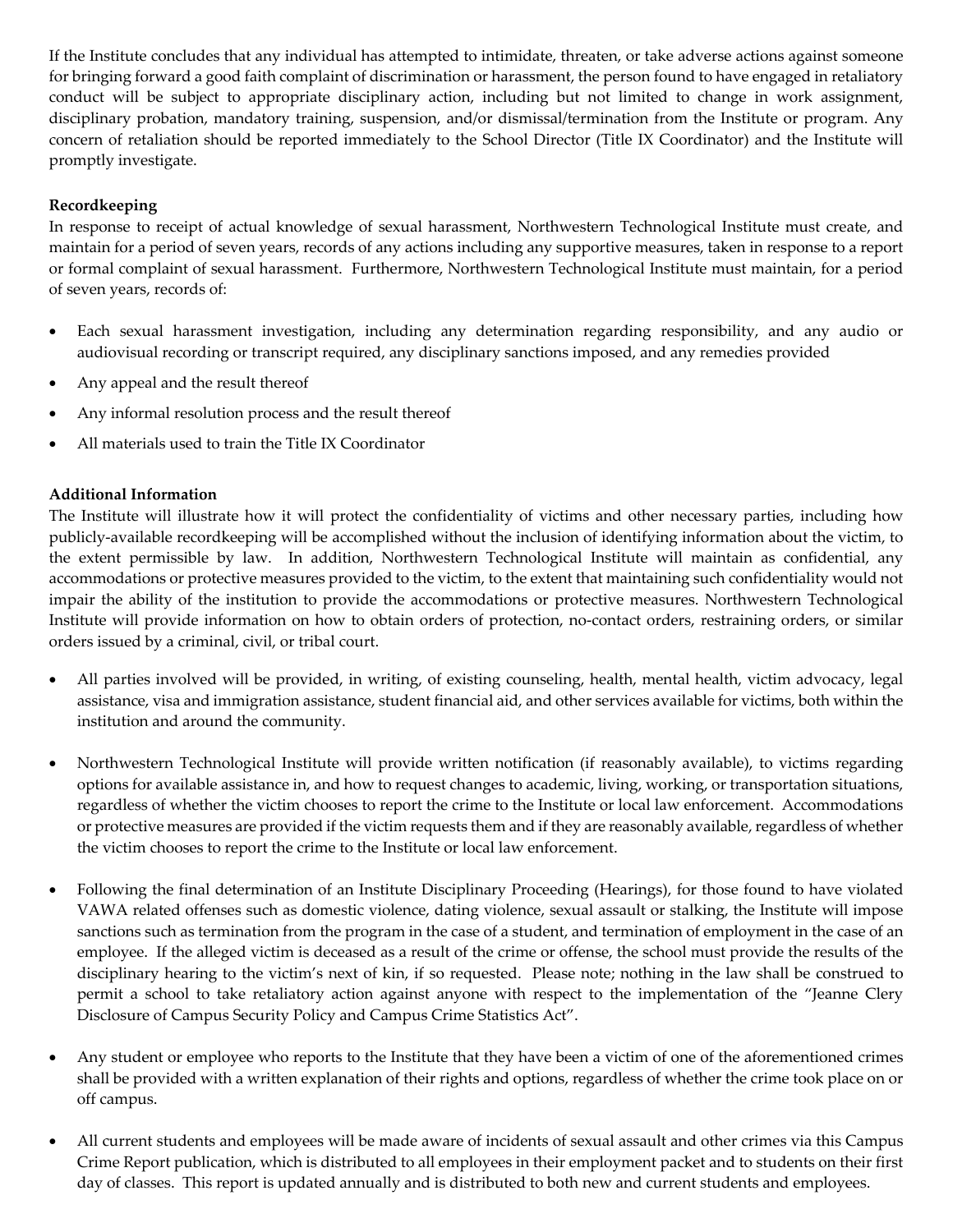If the Institute concludes that any individual has attempted to intimidate, threaten, or take adverse actions against someone for bringing forward a good faith complaint of discrimination or harassment, the person found to have engaged in retaliatory conduct will be subject to appropriate disciplinary action, including but not limited to change in work assignment, disciplinary probation, mandatory training, suspension, and/or dismissal/termination from the Institute or program. Any concern of retaliation should be reported immediately to the School Director (Title IX Coordinator) and the Institute will promptly investigate.

## **Recordkeeping**

In response to receipt of actual knowledge of sexual harassment, Northwestern Technological Institute must create, and maintain for a period of seven years, records of any actions including any supportive measures, taken in response to a report or formal complaint of sexual harassment. Furthermore, Northwestern Technological Institute must maintain, for a period of seven years, records of:

- Each sexual harassment investigation, including any determination regarding responsibility, and any audio or audiovisual recording or transcript required, any disciplinary sanctions imposed, and any remedies provided
- Any appeal and the result thereof
- Any informal resolution process and the result thereof
- All materials used to train the Title IX Coordinator

## **Additional Information**

The Institute will illustrate how it will protect the confidentiality of victims and other necessary parties, including how publicly-available recordkeeping will be accomplished without the inclusion of identifying information about the victim, to the extent permissible by law. In addition, Northwestern Technological Institute will maintain as confidential, any accommodations or protective measures provided to the victim, to the extent that maintaining such confidentiality would not impair the ability of the institution to provide the accommodations or protective measures. Northwestern Technological Institute will provide information on how to obtain orders of protection, no-contact orders, restraining orders, or similar orders issued by a criminal, civil, or tribal court.

- All parties involved will be provided, in writing, of existing counseling, health, mental health, victim advocacy, legal assistance, visa and immigration assistance, student financial aid, and other services available for victims, both within the institution and around the community.
- Northwestern Technological Institute will provide written notification (if reasonably available), to victims regarding options for available assistance in, and how to request changes to academic, living, working, or transportation situations, regardless of whether the victim chooses to report the crime to the Institute or local law enforcement. Accommodations or protective measures are provided if the victim requests them and if they are reasonably available, regardless of whether the victim chooses to report the crime to the Institute or local law enforcement.
- Following the final determination of an Institute Disciplinary Proceeding (Hearings), for those found to have violated VAWA related offenses such as domestic violence, dating violence, sexual assault or stalking, the Institute will impose sanctions such as termination from the program in the case of a student, and termination of employment in the case of an employee. If the alleged victim is deceased as a result of the crime or offense, the school must provide the results of the disciplinary hearing to the victim's next of kin, if so requested. Please note; nothing in the law shall be construed to permit a school to take retaliatory action against anyone with respect to the implementation of the "Jeanne Clery Disclosure of Campus Security Policy and Campus Crime Statistics Act".
- Any student or employee who reports to the Institute that they have been a victim of one of the aforementioned crimes shall be provided with a written explanation of their rights and options, regardless of whether the crime took place on or off campus.
- All current students and employees will be made aware of incidents of sexual assault and other crimes via this Campus Crime Report publication, which is distributed to all employees in their employment packet and to students on their first day of classes. This report is updated annually and is distributed to both new and current students and employees.